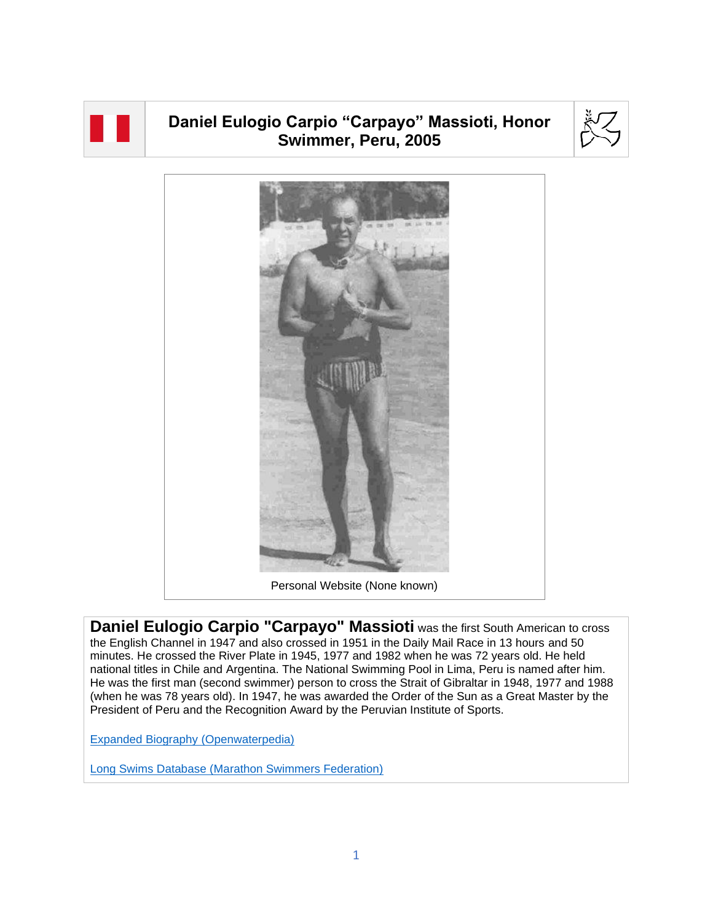

## **Daniel Eulogio Carpio "Carpayo" Massioti, Honor Swimmer, Peru, 2005**





**Daniel Eulogio Carpio "Carpayo" Massioti** was the first South American to cross the English Channel in 1947 and also crossed in 1951 in the Daily Mail Race in 13 hours and 50 minutes. He crossed the River Plate in 1945, 1977 and 1982 when he was 72 years old. He held national titles in Chile and Argentina. The National Swimming Pool in Lima, Peru is named after him. He was the first man (second swimmer) person to cross the Strait of Gibraltar in 1948, 1977 and 1988 (when he was 78 years old). In 1947, he was awarded the Order of the Sun as a Great Master by the President of Peru and the Recognition Award by the Peruvian Institute of Sports.

[Expanded Biography](https://www.openwaterpedia.com/index.php?title=Daniel_Eulogio_Carpio_Massioti) (Openwaterpedia)

Long Swims Database [\(Marathon Swimmers Federation\)](https://db.marathonswimmers.org/p/daniel-carpio-massioti/)